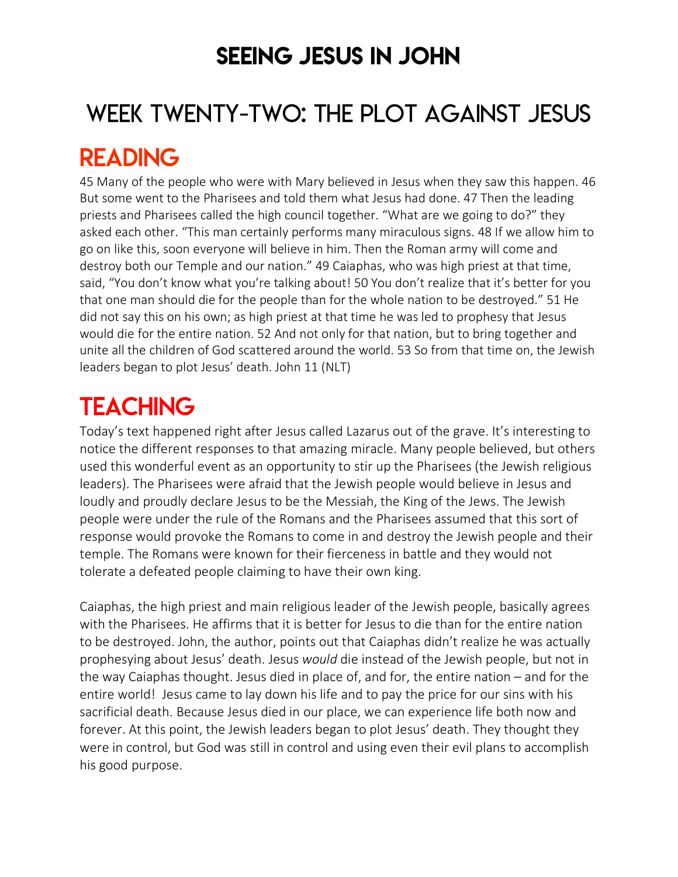### SEEING JESUS IN JOHN

# WEEK TWENTY-TWO: THE PLOT AGAINST JESUS

### READING

45 Many of the people who were with Mary believed in Jesus when they saw this happen. 46 But some went to the Pharisees and told them what Jesus had done. 47 Then the leading priests and Pharisees called the high council together. "What are we going to do?" they asked each other. "This man certainly performs many miraculous signs. 48 If we allow him to go on like this, soon everyone will believe in him. Then the Roman army will come and destroy both our Temple and our nation." 49 Caiaphas, who was high priest at that time, said, "You don't know what you're talking about! 50 You don't realize that it's better for you that one man should die for the people than for the whole nation to be destroyed." 51 He did not say this on his own; as high priest at that time he was led to prophesy that Jesus would die for the entire nation. 52 And not only for that nation, but to bring together and unite all the children of God scattered around the world. 53 So from that time on, the Jewish leaders began to plot Jesus' death. John 11 (NLT)

# **TEACHING**

Today's text happened right after Jesus called Lazarus out of the grave. It's interesting to notice the different responses to that amazing miracle. Many people believed, but others used this wonderful event as an opportunity to stir up the Pharisees (the Jewish religious leaders). The Pharisees were afraid that the Jewish people would believe in Jesus and loudly and proudly declare Jesus to be the Messiah, the King of the Jews. The Jewish people were under the rule of the Romans and the Pharisees assumed that this sort of response would provoke the Romans to come in and destroy the Jewish people and their temple. The Romans were known for their fierceness in battle and they would not tolerate a defeated people claiming to have their own king.

Caiaphas, the high priest and main religious leader of the Jewish people, basically agrees with the Pharisees. He affirms that it is better for Jesus to die than for the entire nation to be destroyed. John, the author, points out that Caiaphas didn't realize he was actually prophesying about Jesus' death. Jesus *would* die instead of the Jewish people, but not in the way Caiaphas thought. Jesus died in place of, and for, the entire nation – and for the entire world! Jesus came to lay down his life and to pay the price for our sins with his sacrificial death. Because Jesus died in our place, we can experience life both now and forever. At this point, the Jewish leaders began to plot Jesus' death. They thought they were in control, but God was still in control and using even their evil plans to accomplish his good purpose.